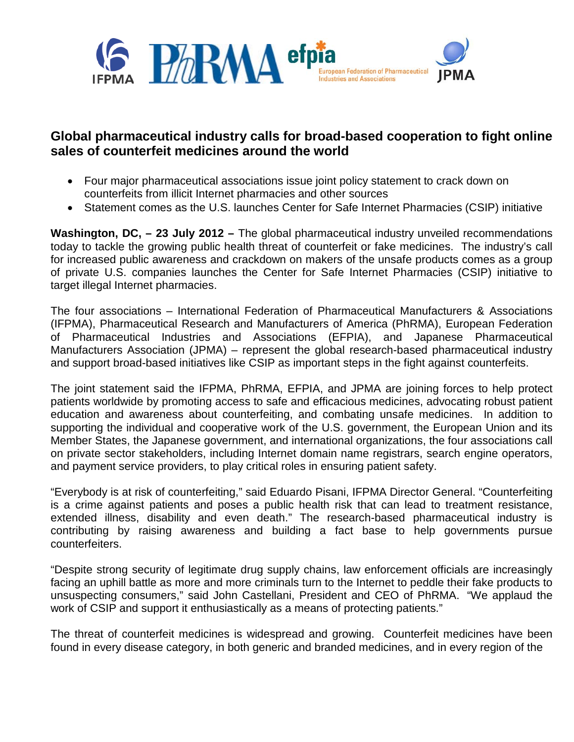

## **Global pharmaceutical industry calls for broad-based cooperation to fight online sales of counterfeit medicines around the world**

- Four major pharmaceutical associations issue joint policy statement to crack down on counterfeits from illicit Internet pharmacies and other sources
- Statement comes as the U.S. launches Center for Safe Internet Pharmacies (CSIP) initiative

**Washington, DC, – 23 July 2012 –** The global pharmaceutical industry unveiled recommendations today to tackle the growing public health threat of counterfeit or fake medicines. The industry's call for increased public awareness and crackdown on makers of the unsafe products comes as a group of private U.S. companies launches the Center for Safe Internet Pharmacies (CSIP) initiative to target illegal Internet pharmacies.

The four associations – International Federation of Pharmaceutical Manufacturers & Associations (IFPMA), Pharmaceutical Research and Manufacturers of America (PhRMA), European Federation of Pharmaceutical Industries and Associations (EFPIA), and Japanese Pharmaceutical Manufacturers Association (JPMA) – represent the global research-based pharmaceutical industry and support broad-based initiatives like CSIP as important steps in the fight against counterfeits.

The joint statement said the IFPMA, PhRMA, EFPIA, and JPMA are joining forces to help protect patients worldwide by promoting access to safe and efficacious medicines, advocating robust patient education and awareness about counterfeiting, and combating unsafe medicines. In addition to supporting the individual and cooperative work of the U.S. government, the European Union and its Member States, the Japanese government, and international organizations, the four associations call on private sector stakeholders, including Internet domain name registrars, search engine operators, and payment service providers, to play critical roles in ensuring patient safety.

"Everybody is at risk of counterfeiting," said Eduardo Pisani, IFPMA Director General. "Counterfeiting is a crime against patients and poses a public health risk that can lead to treatment resistance, extended illness, disability and even death." The research-based pharmaceutical industry is contributing by raising awareness and building a fact base to help governments pursue counterfeiters.

"Despite strong security of legitimate drug supply chains, law enforcement officials are increasingly facing an uphill battle as more and more criminals turn to the Internet to peddle their fake products to unsuspecting consumers," said John Castellani, President and CEO of PhRMA. "We applaud the work of CSIP and support it enthusiastically as a means of protecting patients."

The threat of counterfeit medicines is widespread and growing. Counterfeit medicines have been found in every disease category, in both generic and branded medicines, and in every region of the